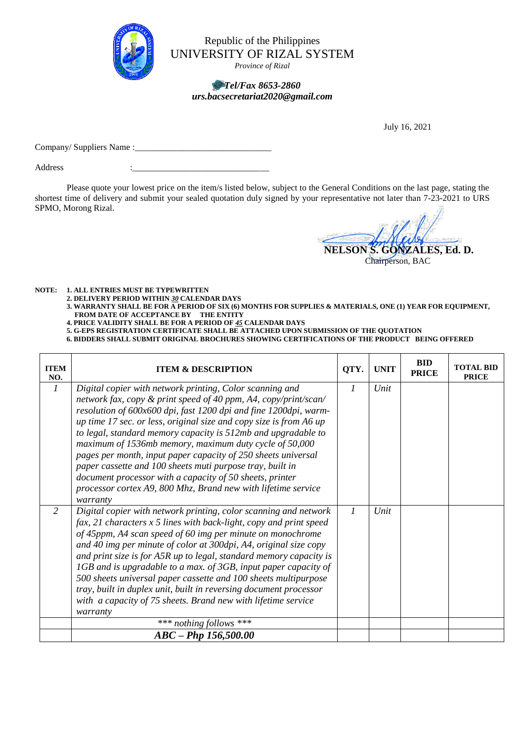

Republic of the Philippines UNIVERSITY OF RIZAL SYSTEM

*Province of Rizal*

## *Tel/Fax 8653-2860 urs.bacsecretariat2020@gmail.com*

July 16, 2021

Company/ Suppliers Name :\_\_\_\_\_\_\_\_\_\_\_\_\_\_\_\_\_\_\_\_\_\_\_\_\_\_\_\_\_\_\_

Address

Please quote your lowest price on the item/s listed below, subject to the General Conditions on the last page, stating the shortest time of delivery and submit your sealed quotation duly signed by your representative not later than 7-23-2021 to URS SPMO, Morong Rizal.

**NELSON S. GONZALES, Ed. D.**

Chairperson, BAC

**NOTE: 1. ALL ENTRIES MUST BE TYPEWRITTEN**

**2. DELIVERY PERIOD WITHIN** *30* **CALENDAR DAYS**

- **3. WARRANTY SHALL BE FOR A PERIOD OF SIX (6) MONTHS FOR SUPPLIES & MATERIALS, ONE (1) YEAR FOR EQUIPMENT, FROM DATE OF ACCEPTANCE BY THE ENTITY**
- **4. PRICE VALIDITY SHALL BE FOR A PERIOD OF** *45* **CALENDAR DAYS**

**5. G-EPS REGISTRATION CERTIFICATE SHALL BE ATTACHED UPON SUBMISSION OF THE QUOTATION**

**6. BIDDERS SHALL SUBMIT ORIGINAL BROCHURES SHOWING CERTIFICATIONS OF THE PRODUCT BEING OFFERED**

| <b>ITEM</b><br>NO. | <b>ITEM &amp; DESCRIPTION</b>                                                                                                                                                                                                                                                                                                                                                                                                                                                                                                                                                                                                                                           | QTY.          | <b>UNIT</b> | <b>BID</b><br><b>PRICE</b> | <b>TOTAL BID</b><br><b>PRICE</b> |
|--------------------|-------------------------------------------------------------------------------------------------------------------------------------------------------------------------------------------------------------------------------------------------------------------------------------------------------------------------------------------------------------------------------------------------------------------------------------------------------------------------------------------------------------------------------------------------------------------------------------------------------------------------------------------------------------------------|---------------|-------------|----------------------------|----------------------------------|
| $\mathcal{I}$      | Digital copier with network printing, Color scanning and<br>network fax, copy & print speed of 40 ppm, A4, copy/print/scan/<br>resolution of 600x600 dpi, fast 1200 dpi and fine 1200dpi, warm-<br>up time 17 sec. or less, original size and copy size is from A6 up<br>to legal, standard memory capacity is 512mb and upgradable to<br>maximum of 1536mb memory, maximum duty cycle of 50,000<br>pages per month, input paper capacity of 250 sheets universal<br>paper cassette and 100 sheets muti purpose tray, built in<br>document processor with a capacity of 50 sheets, printer<br>processor cortex A9, 800 Mhz, Brand new with lifetime service<br>warranty | 1             | Unit        |                            |                                  |
| 2                  | Digital copier with network printing, color scanning and network<br>fax, 21 characters x 5 lines with back-light, copy and print speed<br>of 45ppm, A4 scan speed of 60 img per minute on monochrome<br>and 40 img per minute of color at 300dpi, A4, original size copy<br>and print size is for A5R up to legal, standard memory capacity is<br>1GB and is upgradable to a max. of 3GB, input paper capacity of<br>500 sheets universal paper cassette and 100 sheets multipurpose<br>tray, built in duplex unit, built in reversing document processor<br>with a capacity of 75 sheets. Brand new with lifetime service<br>warranty                                  | $\mathcal{I}$ | Unit        |                            |                                  |
|                    | *** nothing follows ***                                                                                                                                                                                                                                                                                                                                                                                                                                                                                                                                                                                                                                                 |               |             |                            |                                  |
|                    | $ABC - PhD$ 156,500.00                                                                                                                                                                                                                                                                                                                                                                                                                                                                                                                                                                                                                                                  |               |             |                            |                                  |